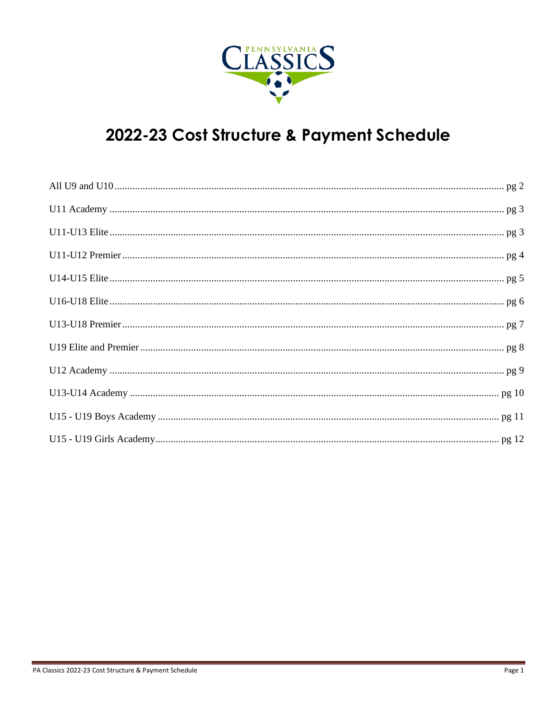

# 2022-23 Cost Structure & Payment Schedule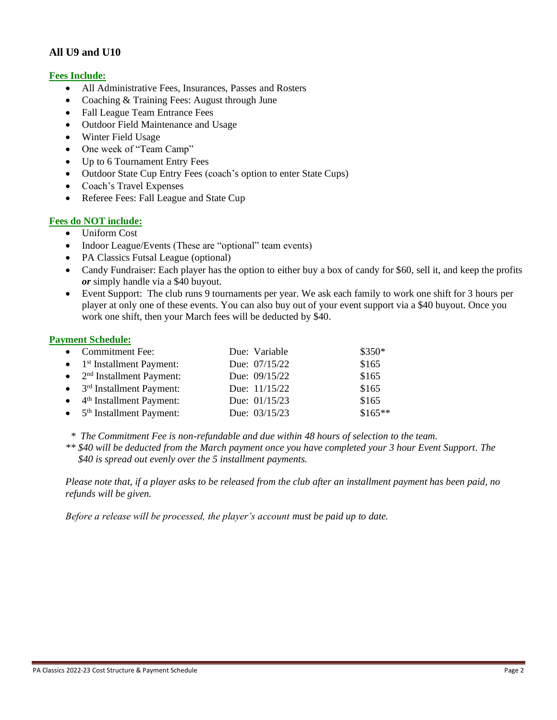# **All U9 and U10**

# **Fees Include:**

- All Administrative Fees, Insurances, Passes and Rosters
- Coaching & Training Fees: August through June
- Fall League Team Entrance Fees
- Outdoor Field Maintenance and Usage
- Winter Field Usage
- One week of "Team Camp"
- Up to 6 Tournament Entry Fees
- Outdoor State Cup Entry Fees (coach's option to enter State Cups)
- Coach's Travel Expenses
- Referee Fees: Fall League and State Cup

# **Fees do NOT include:**

- Uniform Cost
- Indoor League/Events (These are "optional" team events)
- PA Classics Futsal League (optional)
- Candy Fundraiser: Each player has the option to either buy a box of candy for \$60, sell it, and keep the profits *or* simply handle via a \$40 buyout.
- Event Support: The club runs 9 tournaments per year. We ask each family to work one shift for 3 hours per player at only one of these events. You can also buy out of your event support via a \$40 buyout. Once you work one shift, then your March fees will be deducted by \$40.

#### **Payment Schedule:**

| • Commitment Fee:                              | Due: Variable | \$350*   |
|------------------------------------------------|---------------|----------|
| $\bullet$ 1 <sup>st</sup> Installment Payment: | Due: 07/15/22 | \$165    |
| $\bullet$ 2 <sup>nd</sup> Installment Payment: | Due: 09/15/22 | \$165    |
| $\bullet$ 3 <sup>rd</sup> Installment Payment: | Due: 11/15/22 | \$165    |
| $\bullet$ 4 <sup>th</sup> Installment Payment: | Due: 01/15/23 | \$165    |
| $\bullet$ 5 <sup>th</sup> Installment Payment: | Due: 03/15/23 | $$165**$ |

 *\* The Commitment Fee is non-refundable and due within 48 hours of selection to the team.*

*\*\* \$40 will be deducted from the March payment once you have completed your 3 hour Event Support. The \$40 is spread out evenly over the 5 installment payments.* 

*Please note that, if a player asks to be released from the club after an installment payment has been paid, no refunds will be given.*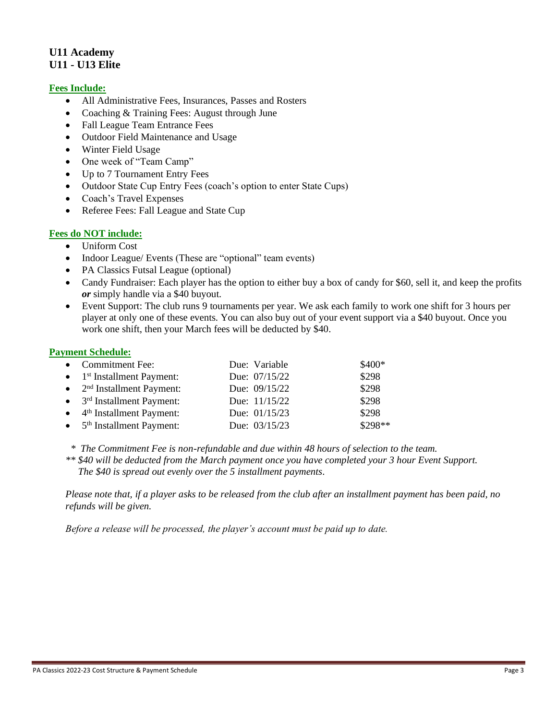# **U11 Academy U11 - U13 Elite**

# **Fees Include:**

- All Administrative Fees, Insurances, Passes and Rosters
- Coaching & Training Fees: August through June
- Fall League Team Entrance Fees
- Outdoor Field Maintenance and Usage
- Winter Field Usage
- One week of "Team Camp"
- Up to 7 Tournament Entry Fees
- Outdoor State Cup Entry Fees (coach's option to enter State Cups)
- Coach's Travel Expenses
- Referee Fees: Fall League and State Cup

#### **Fees do NOT include:**

- Uniform Cost
- Indoor League/ Events (These are "optional" team events)
- PA Classics Futsal League (optional)
- Candy Fundraiser: Each player has the option to either buy a box of candy for \$60, sell it, and keep the profits *or* simply handle via a \$40 buyout.
- Event Support: The club runs 9 tournaments per year. We ask each family to work one shift for 3 hours per player at only one of these events. You can also buy out of your event support via a \$40 buyout. Once you work one shift, then your March fees will be deducted by \$40.

#### **Payment Schedule:**

| • Commitment Fee:                              | Due: Variable | \$400*  |
|------------------------------------------------|---------------|---------|
| $\bullet$ 1 <sup>st</sup> Installment Payment: | Due: 07/15/22 | \$298   |
| $\bullet$ 2 <sup>nd</sup> Installment Payment: | Due: 09/15/22 | \$298   |
| $\bullet$ 3 <sup>rd</sup> Installment Payment: | Due: 11/15/22 | \$298   |
| $\bullet$ 4 <sup>th</sup> Installment Payment: | Due: 01/15/23 | \$298   |
| $\bullet$ 5 <sup>th</sup> Installment Payment: | Due: 03/15/23 | \$298** |

 *\* The Commitment Fee is non-refundable and due within 48 hours of selection to the team.*

*\*\* \$40 will be deducted from the March payment once you have completed your 3 hour Event Support. The \$40 is spread out evenly over the 5 installment payments.* 

*Please note that, if a player asks to be released from the club after an installment payment has been paid, no refunds will be given.*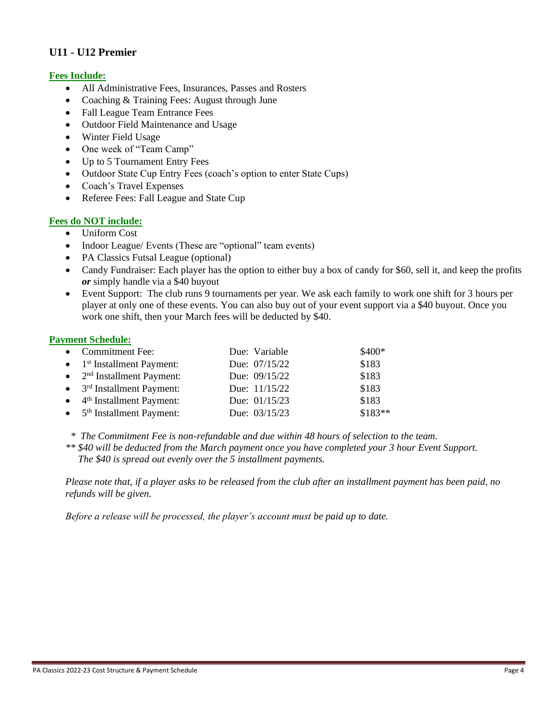# **U11 - U12 Premier**

# **Fees Include:**

- All Administrative Fees, Insurances, Passes and Rosters
- Coaching & Training Fees: August through June
- Fall League Team Entrance Fees
- Outdoor Field Maintenance and Usage
- Winter Field Usage
- One week of "Team Camp"
- Up to 5 Tournament Entry Fees
- Outdoor State Cup Entry Fees (coach's option to enter State Cups)
- Coach's Travel Expenses
- Referee Fees: Fall League and State Cup

#### **Fees do NOT include:**

- Uniform Cost
- Indoor League/ Events (These are "optional" team events)
- PA Classics Futsal League (optional)
- Candy Fundraiser: Each player has the option to either buy a box of candy for \$60, sell it, and keep the profits *or* simply handle via a \$40 buyout
- Event Support: The club runs 9 tournaments per year. We ask each family to work one shift for 3 hours per player at only one of these events. You can also buy out of your event support via a \$40 buyout. Once you work one shift, then your March fees will be deducted by \$40.

#### **Payment Schedule:**

| • Commitment Fee:                              | Due: Variable | \$400*   |
|------------------------------------------------|---------------|----------|
| $\bullet$ 1 <sup>st</sup> Installment Payment: | Due: 07/15/22 | \$183    |
| $\bullet$ 2 <sup>nd</sup> Installment Payment: | Due: 09/15/22 | \$183    |
| $\bullet$ 3 <sup>rd</sup> Installment Payment: | Due: 11/15/22 | \$183    |
| $\bullet$ 4 <sup>th</sup> Installment Payment: | Due: 01/15/23 | \$183    |
| $\bullet$ 5 <sup>th</sup> Installment Payment: | Due: 03/15/23 | $$183**$ |

 *\* The Commitment Fee is non-refundable and due within 48 hours of selection to the team.*

*\*\* \$40 will be deducted from the March payment once you have completed your 3 hour Event Support. The \$40 is spread out evenly over the 5 installment payments.* 

*Please note that, if a player asks to be released from the club after an installment payment has been paid, no refunds will be given.*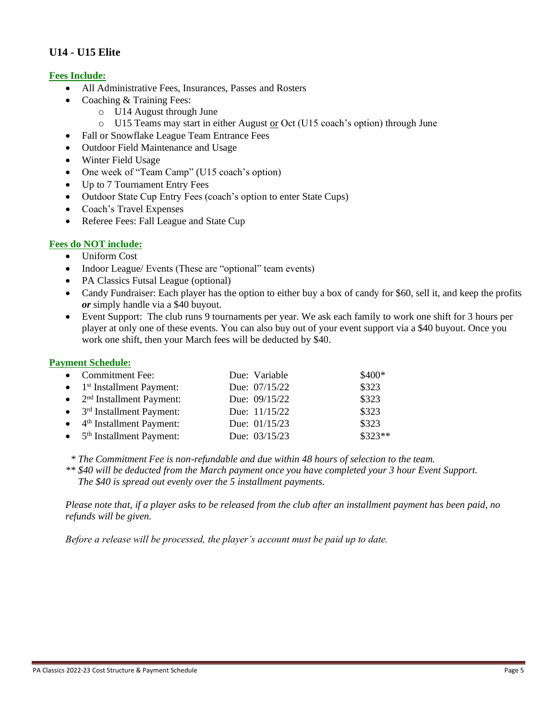# **U14 - U15 Elite**

# **Fees Include:**

- All Administrative Fees, Insurances, Passes and Rosters
- Coaching & Training Fees:
	- o U14 August through June
	- $\circ$  U15 Teams may start in either August or Oct (U15 coach's option) through June
- Fall or Snowflake League Team Entrance Fees
- Outdoor Field Maintenance and Usage
- Winter Field Usage
- One week of "Team Camp" (U15 coach's option)
- Up to 7 Tournament Entry Fees
- Outdoor State Cup Entry Fees (coach's option to enter State Cups)
- Coach's Travel Expenses
- Referee Fees: Fall League and State Cup

# **Fees do NOT include:**

- Uniform Cost
- Indoor League/ Events (These are "optional" team events)
- PA Classics Futsal League (optional)
- Candy Fundraiser: Each player has the option to either buy a box of candy for \$60, sell it, and keep the profits *or* simply handle via a \$40 buyout.
- Event Support: The club runs 9 tournaments per year. We ask each family to work one shift for 3 hours per player at only one of these events. You can also buy out of your event support via a \$40 buyout. Once you work one shift, then your March fees will be deducted by \$40.

# **Payment Schedule:**

| • Commitment Fee:                              | Due: Variable | \$400*   |
|------------------------------------------------|---------------|----------|
| $\bullet$ 1 <sup>st</sup> Installment Payment: | Due: 07/15/22 | \$323    |
| $\bullet$ 2 <sup>nd</sup> Installment Payment: | Due: 09/15/22 | \$323    |
| $\bullet$ 3 <sup>rd</sup> Installment Payment: | Due: 11/15/22 | \$323    |
| $\bullet$ 4 <sup>th</sup> Installment Payment: | Due: 01/15/23 | \$323    |
| $\bullet$ 5 <sup>th</sup> Installment Payment: | Due: 03/15/23 | $$323**$ |

*\* The Commitment Fee is non-refundable and due within 48 hours of selection to the team.*

*\*\* \$40 will be deducted from the March payment once you have completed your 3 hour Event Support. The \$40 is spread out evenly over the 5 installment payments.* 

*Please note that, if a player asks to be released from the club after an installment payment has been paid, no refunds will be given.*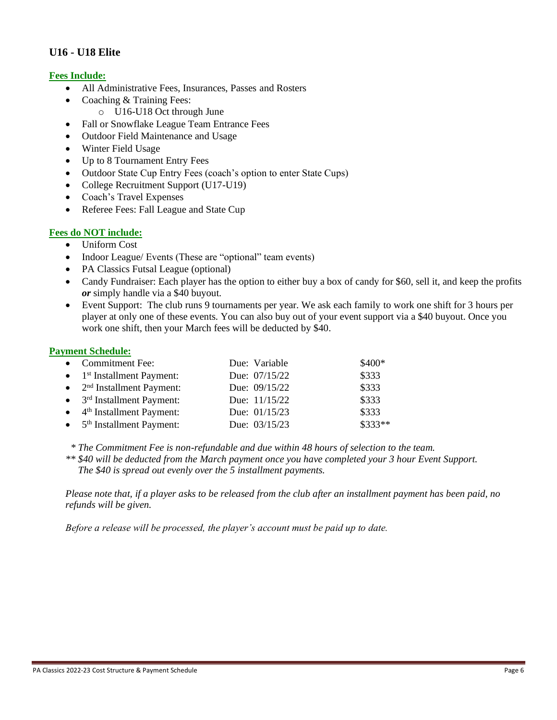# **U16 - U18 Elite**

# **Fees Include:**

- All Administrative Fees, Insurances, Passes and Rosters
- Coaching & Training Fees:
	- o U16-U18 Oct through June
- Fall or Snowflake League Team Entrance Fees
- Outdoor Field Maintenance and Usage
- Winter Field Usage
- Up to 8 Tournament Entry Fees
- Outdoor State Cup Entry Fees (coach's option to enter State Cups)
- College Recruitment Support (U17-U19)
- Coach's Travel Expenses
- Referee Fees: Fall League and State Cup

# **Fees do NOT include:**

- Uniform Cost
- Indoor League/ Events (These are "optional" team events)
- PA Classics Futsal League (optional)
- Candy Fundraiser: Each player has the option to either buy a box of candy for \$60, sell it, and keep the profits *or* simply handle via a \$40 buyout.
- Event Support: The club runs 9 tournaments per year. We ask each family to work one shift for 3 hours per player at only one of these events. You can also buy out of your event support via a \$40 buyout. Once you work one shift, then your March fees will be deducted by \$40.

#### **Payment Schedule:**

| • Commitment Fee:                              | Due: Variable | \$400*   |
|------------------------------------------------|---------------|----------|
| $\bullet$ 1 <sup>st</sup> Installment Payment: | Due: 07/15/22 | \$333    |
| $\bullet$ 2 <sup>nd</sup> Installment Payment: | Due: 09/15/22 | \$333    |
| $\bullet$ 3 <sup>rd</sup> Installment Payment: | Due: 11/15/22 | \$333    |
| $\bullet$ 4 <sup>th</sup> Installment Payment: | Due: 01/15/23 | \$333    |
| $\bullet$ 5 <sup>th</sup> Installment Payment: | Due: 03/15/23 | $$333**$ |

*\* The Commitment Fee is non-refundable and due within 48 hours of selection to the team.*

*\*\* \$40 will be deducted from the March payment once you have completed your 3 hour Event Support. The \$40 is spread out evenly over the 5 installment payments.* 

*Please note that, if a player asks to be released from the club after an installment payment has been paid, no refunds will be given.*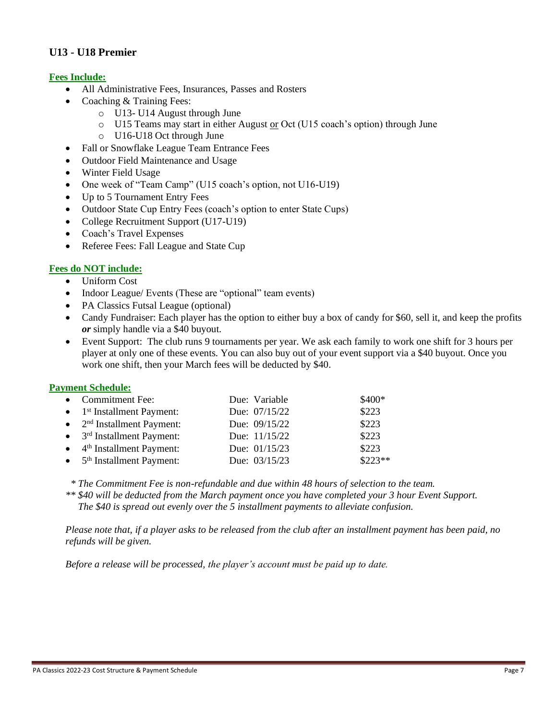# **U13 - U18 Premier**

# **Fees Include:**

- All Administrative Fees, Insurances, Passes and Rosters
- Coaching & Training Fees:
	- o U13- U14 August through June
		- o U15 Teams may start in either August or Oct (U15 coach's option) through June
		- o U16-U18 Oct through June
- Fall or Snowflake League Team Entrance Fees
- Outdoor Field Maintenance and Usage
- Winter Field Usage
- One week of "Team Camp" (U15 coach's option, not U16-U19)
- Up to 5 Tournament Entry Fees
- Outdoor State Cup Entry Fees (coach's option to enter State Cups)
- College Recruitment Support (U17-U19)
- Coach's Travel Expenses
- Referee Fees: Fall League and State Cup

#### **Fees do NOT include:**

- Uniform Cost
- Indoor League/ Events (These are "optional" team events)
- PA Classics Futsal League (optional)
- Candy Fundraiser: Each player has the option to either buy a box of candy for \$60, sell it, and keep the profits *or* simply handle via a \$40 buyout.
- Event Support: The club runs 9 tournaments per year. We ask each family to work one shift for 3 hours per player at only one of these events. You can also buy out of your event support via a \$40 buyout. Once you work one shift, then your March fees will be deducted by \$40.

#### **Payment Schedule:**

| • Commitment Fee:                              | Due: Variable | \$400*   |
|------------------------------------------------|---------------|----------|
| $\bullet$ 1 <sup>st</sup> Installment Payment: | Due: 07/15/22 | \$223    |
| $\bullet$ 2 <sup>nd</sup> Installment Payment: | Due: 09/15/22 | \$223    |
| $\bullet$ 3 <sup>rd</sup> Installment Payment: | Due: 11/15/22 | \$223    |
| $\bullet$ 4 <sup>th</sup> Installment Payment: | Due: 01/15/23 | \$223    |
| $\bullet$ 5 <sup>th</sup> Installment Payment: | Due: 03/15/23 | $$223**$ |

*\* The Commitment Fee is non-refundable and due within 48 hours of selection to the team.*

*\*\* \$40 will be deducted from the March payment once you have completed your 3 hour Event Support. The \$40 is spread out evenly over the 5 installment payments to alleviate confusion.* 

*Please note that, if a player asks to be released from the club after an installment payment has been paid, no refunds will be given.*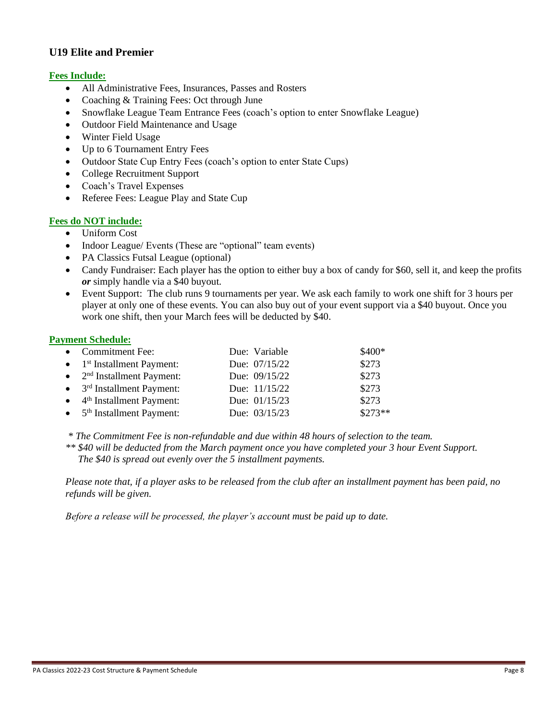# **U19 Elite and Premier**

# **Fees Include:**

- All Administrative Fees, Insurances, Passes and Rosters
- Coaching & Training Fees: Oct through June
- Snowflake League Team Entrance Fees (coach's option to enter Snowflake League)
- Outdoor Field Maintenance and Usage
- Winter Field Usage
- Up to 6 Tournament Entry Fees
- Outdoor State Cup Entry Fees (coach's option to enter State Cups)
- College Recruitment Support
- Coach's Travel Expenses
- Referee Fees: League Play and State Cup

# **Fees do NOT include:**

- Uniform Cost
- Indoor League/ Events (These are "optional" team events)
- PA Classics Futsal League (optional)
- Candy Fundraiser: Each player has the option to either buy a box of candy for \$60, sell it, and keep the profits *or* simply handle via a \$40 buyout.
- Event Support: The club runs 9 tournaments per year. We ask each family to work one shift for 3 hours per player at only one of these events. You can also buy out of your event support via a \$40 buyout. Once you work one shift, then your March fees will be deducted by \$40.

#### **Payment Schedule:**

| • Commitment Fee:                              | Due: Variable | \$400*   |
|------------------------------------------------|---------------|----------|
| $\bullet$ 1 <sup>st</sup> Installment Payment: | Due: 07/15/22 | \$273    |
| $\bullet$ 2 <sup>nd</sup> Installment Payment: | Due: 09/15/22 | \$273    |
| $\bullet$ 3 <sup>rd</sup> Installment Payment: | Due: 11/15/22 | \$273    |
| $\bullet$ 4 <sup>th</sup> Installment Payment: | Due: 01/15/23 | \$273    |
| $\bullet$ 5 <sup>th</sup> Installment Payment: | Due: 03/15/23 | $$273**$ |

*\* The Commitment Fee is non-refundable and due within 48 hours of selection to the team.*

*\*\* \$40 will be deducted from the March payment once you have completed your 3 hour Event Support. The \$40 is spread out evenly over the 5 installment payments.* 

*Please note that, if a player asks to be released from the club after an installment payment has been paid, no refunds will be given.*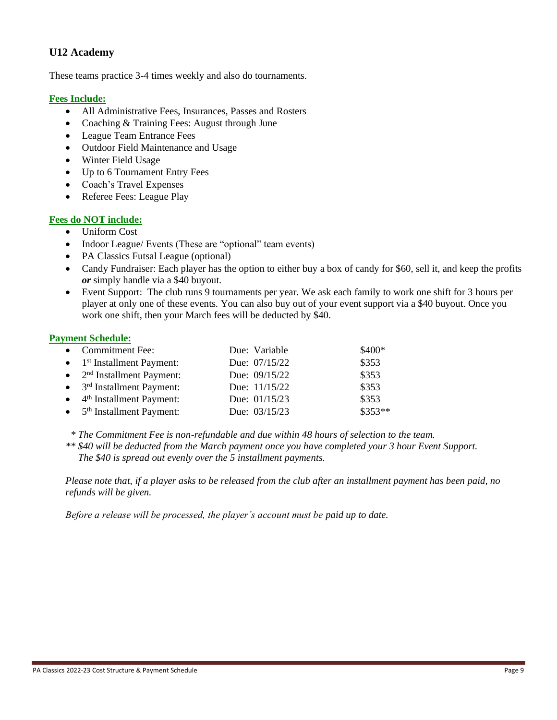# **U12 Academy**

These teams practice 3-4 times weekly and also do tournaments.

#### **Fees Include:**

- All Administrative Fees, Insurances, Passes and Rosters
- Coaching & Training Fees: August through June
- League Team Entrance Fees
- Outdoor Field Maintenance and Usage
- Winter Field Usage
- Up to 6 Tournament Entry Fees
- Coach's Travel Expenses
- Referee Fees: League Play

# **Fees do NOT include:**

- Uniform Cost
- Indoor League/ Events (These are "optional" team events)
- PA Classics Futsal League (optional)
- Candy Fundraiser: Each player has the option to either buy a box of candy for \$60, sell it, and keep the profits *or* simply handle via a \$40 buyout.
- Event Support: The club runs 9 tournaments per year. We ask each family to work one shift for 3 hours per player at only one of these events. You can also buy out of your event support via a \$40 buyout. Once you work one shift, then your March fees will be deducted by \$40.

#### **Payment Schedule:**

| • Commitment Fee:                              | Due: Variable   | \$400*   |
|------------------------------------------------|-----------------|----------|
| $\bullet$ 1 <sup>st</sup> Installment Payment: | Due: 07/15/22   | \$353    |
| $\bullet$ 2 <sup>nd</sup> Installment Payment: | Due: 09/15/22   | \$353    |
| $\bullet$ 3 <sup>rd</sup> Installment Payment: | Due: 11/15/22   | \$353    |
| $\bullet$ 4 <sup>th</sup> Installment Payment: | Due: $01/15/23$ | \$353    |
| $\bullet$ 5 <sup>th</sup> Installment Payment: | Due: 03/15/23   | $$353**$ |

*\* The Commitment Fee is non-refundable and due within 48 hours of selection to the team.*

*\*\* \$40 will be deducted from the March payment once you have completed your 3 hour Event Support. The \$40 is spread out evenly over the 5 installment payments.* 

*Please note that, if a player asks to be released from the club after an installment payment has been paid, no refunds will be given.*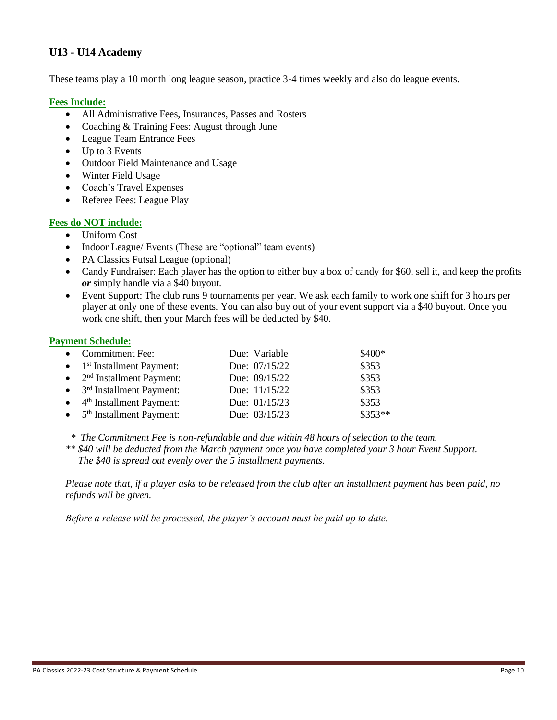# **U13 - U14 Academy**

These teams play a 10 month long league season, practice 3-4 times weekly and also do league events.

#### **Fees Include:**

- All Administrative Fees, Insurances, Passes and Rosters
- Coaching & Training Fees: August through June
- League Team Entrance Fees
- Up to 3 Events
- Outdoor Field Maintenance and Usage
- Winter Field Usage
- Coach's Travel Expenses
- Referee Fees: League Play

#### **Fees do NOT include:**

- Uniform Cost
- Indoor League/ Events (These are "optional" team events)
- PA Classics Futsal League (optional)
- Candy Fundraiser: Each player has the option to either buy a box of candy for \$60, sell it, and keep the profits *or* simply handle via a \$40 buyout.
- Event Support: The club runs 9 tournaments per year. We ask each family to work one shift for 3 hours per player at only one of these events. You can also buy out of your event support via a \$40 buyout. Once you work one shift, then your March fees will be deducted by \$40.

#### **Payment Schedule:**

| • Commitment Fee:                              | Due: Variable | \$400*   |
|------------------------------------------------|---------------|----------|
| $\bullet$ 1 <sup>st</sup> Installment Payment: | Due: 07/15/22 | \$353    |
| $\bullet$ 2 <sup>nd</sup> Installment Payment: | Due: 09/15/22 | \$353    |
| $\bullet$ 3 <sup>rd</sup> Installment Payment: | Due: 11/15/22 | \$353    |
| $\bullet$ 4 <sup>th</sup> Installment Payment: | Due: 01/15/23 | \$353    |
| $\bullet$ 5 <sup>th</sup> Installment Payment: | Due: 03/15/23 | $$353**$ |

 *\* The Commitment Fee is non-refundable and due within 48 hours of selection to the team.*

*\*\* \$40 will be deducted from the March payment once you have completed your 3 hour Event Support. The \$40 is spread out evenly over the 5 installment payments.* 

*Please note that, if a player asks to be released from the club after an installment payment has been paid, no refunds will be given.*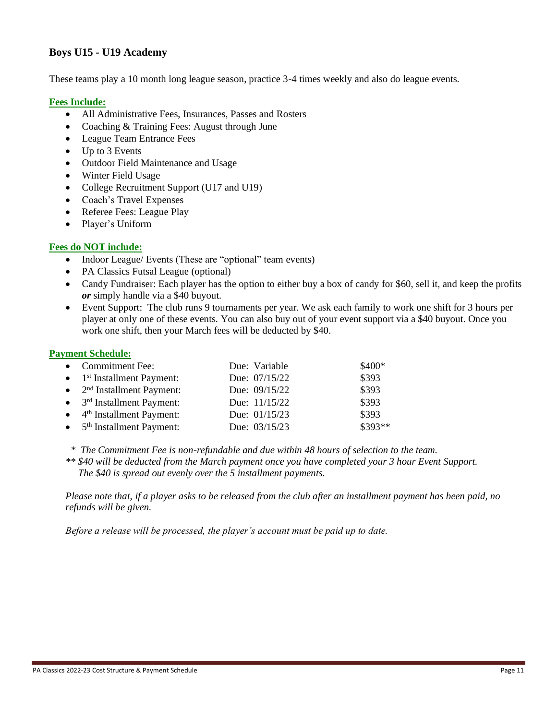# **Boys U15 - U19 Academy**

These teams play a 10 month long league season, practice 3-4 times weekly and also do league events.

#### **Fees Include:**

- All Administrative Fees, Insurances, Passes and Rosters
- Coaching & Training Fees: August through June
- League Team Entrance Fees
- Up to 3 Events
- Outdoor Field Maintenance and Usage
- Winter Field Usage
- College Recruitment Support (U17 and U19)
- Coach's Travel Expenses
- Referee Fees: League Play
- Player's Uniform

# **Fees do NOT include:**

- Indoor League/ Events (These are "optional" team events)
- PA Classics Futsal League (optional)
- Candy Fundraiser: Each player has the option to either buy a box of candy for \$60, sell it, and keep the profits *or* simply handle via a \$40 buyout.
- Event Support: The club runs 9 tournaments per year. We ask each family to work one shift for 3 hours per player at only one of these events. You can also buy out of your event support via a \$40 buyout. Once you work one shift, then your March fees will be deducted by \$40.

#### **Payment Schedule:**

| • Commitment Fee:                              | Due: Variable | $$400*$ |
|------------------------------------------------|---------------|---------|
| $\bullet$ 1 <sup>st</sup> Installment Payment: | Due: 07/15/22 | \$393   |
| $\bullet$ 2 <sup>nd</sup> Installment Payment: | Due: 09/15/22 | \$393   |
| $\bullet$ 3 <sup>rd</sup> Installment Payment: | Due: 11/15/22 | \$393   |
| $\bullet$ 4 <sup>th</sup> Installment Payment: | Due: 01/15/23 | \$393   |
| $\bullet$ 5 <sup>th</sup> Installment Payment: | Due: 03/15/23 | \$393** |

 *\* The Commitment Fee is non-refundable and due within 48 hours of selection to the team.*

*\*\* \$40 will be deducted from the March payment once you have completed your 3 hour Event Support. The \$40 is spread out evenly over the 5 installment payments.* 

*Please note that, if a player asks to be released from the club after an installment payment has been paid, no refunds will be given.*